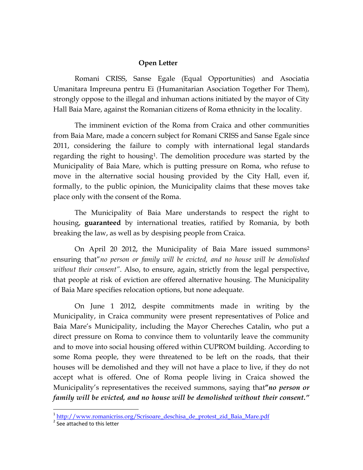## **Open Letter**

Romani CRISS, Sanse Egale (Equal Opportunities) and Asociatia Umanitara Impreuna pentru Ei (Humanitarian Asociation Together For Them), strongly oppose to the illegal and inhuman actions initiated by the mayor of City Hall Baia Mare, against the Romanian citizens of Roma ethnicity in the locality.

The imminent eviction of the Roma from Craica and other communities from Baia Mare, made a concern subject for Romani CRISS and Sanse Egale since 2011, considering the failure to comply with international legal standards regarding the right to housing<sup>1</sup>. The demolition procedure was started by the Municipality of Baia Mare, which is putting pressure on Roma, who refuse to move in the alternative social housing provided by the City Hall, even if, formally, to the public opinion, the Municipality claims that these moves take place only with the consent of the Roma.

The Municipality of Baia Mare understands to respect the right to housing, **guaranteed** by international treaties, ratified by Romania, by both breaking the law, as well as by despising people from Craica.

On April 20 2012, the Municipality of Baia Mare issued summons<sup>2</sup> ensuring that"*no person or family will be evicted, and no house will be demolished without their consent"*. Also, to ensure, again, strictly from the legal perspective, that people at risk of eviction are offered alternative housing. The Municipality of Baia Mare specifies relocation options, but none adequate.

On June 1 2012, despite commitments made in writing by the Municipality, in Craica community were present representatives of Police and Baia Mare's Municipality, including the Mayor Chereches Catalin, who put a direct pressure on Roma to convince them to voluntarily leave the community and to move into social housing offered within CUPROM building. According to some Roma people, they were threatened to be left on the roads, that their houses will be demolished and they will not have a place to live, if they do not accept what is offered. One of Roma people living in Craica showed the Municipality's representatives the received summons, saying that**"***no person or family will be evicted, and no house will be demolished without their consent."*

<sup>&</sup>lt;sup>1</sup> http://www.romanicriss.org/Scrisoare\_deschisa\_de\_protest\_zid\_Baia\_Mare.pdf

<sup>&</sup>lt;sup>2</sup> See attached to this letter